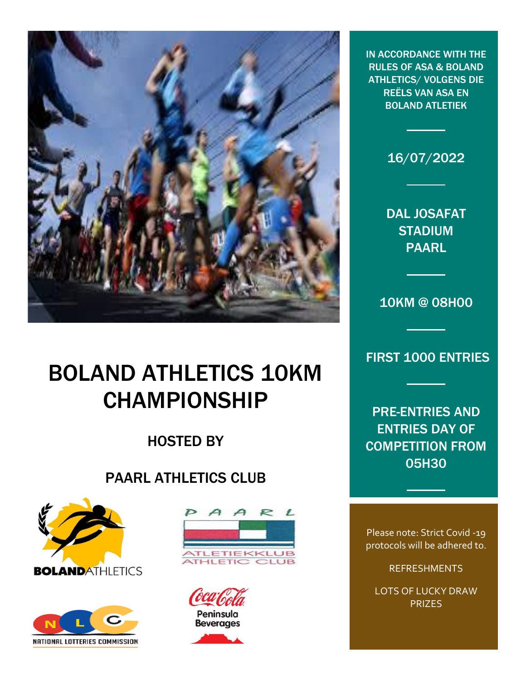

# BOLAND ATHLETICS 10KM CHAMPIONSHIP

## HOSTED BY

### PAARL ATHLETICS CLUB











16/07/2022

DAL JOSAFAT STADIUM PAARL

10KM @ 08H00

FIRST 1000 ENTRIES

PRE-ENTRIES AND ENTRIES DAY OF COMPETITION FROM 05H30

Please note: Strict Covid -19 protocols will be adhered to.<br>'

REFRESHMENTS

LOTS OF LUCKY DRAW PRIZES